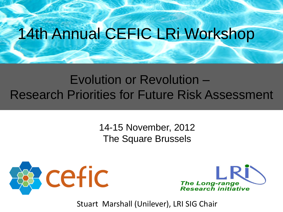## 14th Annual CEFIC LRi Workshop

## Evolution or Revolution – Research Priorities for Future Risk Assessment

14-15 November, 2012 The Square Brussels





Stuart Marshall (Unilever), LRI SIG Chair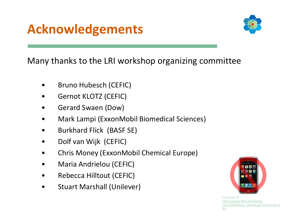## **Acknowledgements**



Many thanks to the LRI workshop organizing committee

- Bruno Hubesch (CEFIC)
- Gernot KLOTZ (CEFIC)
- Gerard Swaen (Dow)
- Mark Lampi (ExxonMobil Biomedical Sciences)
- Burkhard Flick (BASF SE)
- Dolf van Wijk (CEFIC)
- Chris Money (ExxonMobil Chemical Europe)
- Maria Andrielou (CEFIC)
- Rebecca Hilltout (CEFIC)
- Stuart Marshall (Unilever)



Courtesy of: http://cjwriter.files.wordpress. com/2008/05/no\_iphone.jpg?w=341&h=3 55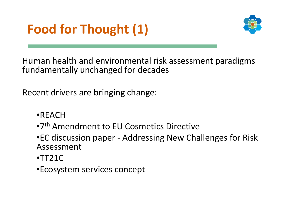



Human health and environmental risk assessment paradigms fundamentally unchanged for decades

Recent drivers are bringing change:

- •REACH
- •7<sup>th</sup> Amendment to EU Cosmetics Directive

•EC discussion paper - Addressing New Challenges for Risk Assessment

•TT21C

•Ecosystem services concept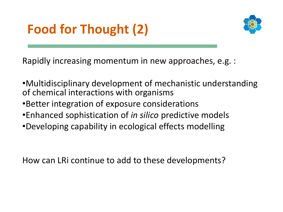## **Food for Thought (2)**



Rapidly increasing momentum in new approaches, e.g. :

- •Multidisciplinary development of mechanistic understanding of chemical interactions with organisms
- •Better integration of exposure considerations
- •Enhanced sophistication of *in silico* predictive models
- •Developing capability in ecological effects modelling

How can LRi continue to add to these developments?